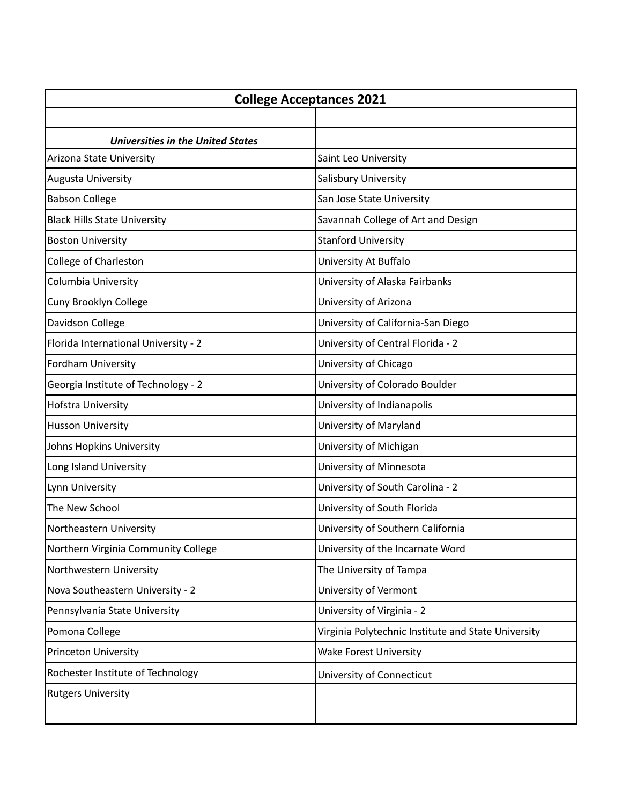| <b>College Acceptances 2021</b>          |                                                     |
|------------------------------------------|-----------------------------------------------------|
|                                          |                                                     |
| <b>Universities in the United States</b> |                                                     |
| Arizona State University                 | Saint Leo University                                |
| Augusta University                       | Salisbury University                                |
| <b>Babson College</b>                    | San Jose State University                           |
| <b>Black Hills State University</b>      | Savannah College of Art and Design                  |
| <b>Boston University</b>                 | <b>Stanford University</b>                          |
| College of Charleston                    | University At Buffalo                               |
| Columbia University                      | University of Alaska Fairbanks                      |
| Cuny Brooklyn College                    | University of Arizona                               |
| Davidson College                         | University of California-San Diego                  |
| Florida International University - 2     | University of Central Florida - 2                   |
| Fordham University                       | University of Chicago                               |
| Georgia Institute of Technology - 2      | University of Colorado Boulder                      |
| Hofstra University                       | University of Indianapolis                          |
| Husson University                        | University of Maryland                              |
| Johns Hopkins University                 | University of Michigan                              |
| Long Island University                   | University of Minnesota                             |
| Lynn University                          | University of South Carolina - 2                    |
| The New School                           | University of South Florida                         |
| Northeastern University                  | University of Southern California                   |
| Northern Virginia Community College      | University of the Incarnate Word                    |
| Northwestern University                  | The University of Tampa                             |
| Nova Southeastern University - 2         | University of Vermont                               |
| Pennsylvania State University            | University of Virginia - 2                          |
| Pomona College                           | Virginia Polytechnic Institute and State University |
| <b>Princeton University</b>              | <b>Wake Forest University</b>                       |
| Rochester Institute of Technology        | University of Connecticut                           |
| <b>Rutgers University</b>                |                                                     |
|                                          |                                                     |